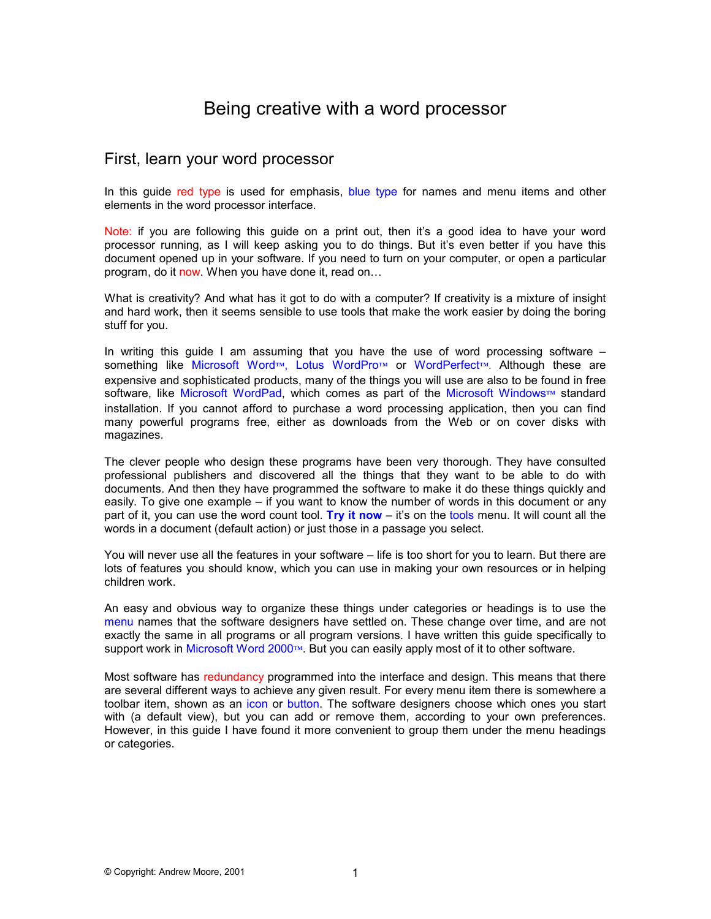# Being creative with a word processor

## First, learn your word processor

In this guide red type is used for emphasis, blue type for names and menu items and other elements in the word processor interface.

Note: if you are following this guide on a print out, then it's a good idea to have your word processor running, as I will keep asking you to do things. But it's even better if you have this document opened up in your software. If you need to turn on your computer, or open a particular program, do it now. When you have done it, read on…

What is creativity? And what has it got to do with a computer? If creativity is a mixture of insight and hard work, then it seems sensible to use tools that make the work easier by doing the boring stuff for you.

In writing this guide I am assuming that you have the use of word processing software – something like Microsoft Word™, Lotus WordPro™ or WordPerfect™. Although these are expensive and sophisticated products, many of the things you will use are also to be found in free software, like Microsoft WordPad, which comes as part of the Microsoft Windows™ standard installation. If you cannot afford to purchase a word processing application, then you can find many powerful programs free, either as downloads from the Web or on cover disks with magazines.

The clever people who design these programs have been very thorough. They have consulted professional publishers and discovered all the things that they want to be able to do with documents. And then they have programmed the software to make it do these things quickly and easily. To give one example – if you want to know the number of words in this document or any part of it, you can use the word count tool. **Try it now** – it's on the tools menu. It will count all the words in a document (default action) or just those in a passage you select.

You will never use all the features in your software – life is too short for you to learn. But there are lots of features you should know, which you can use in making your own resources or in helping children work.

An easy and obvious way to organize these things under categories or headings is to use the menu names that the software designers have settled on. These change over time, and are not exactly the same in all programs or all program versions. I have written this guide specifically to support work in Microsoft Word 2000™. But you can easily apply most of it to other software.

Most software has redundancy programmed into the interface and design. This means that there are several different ways to achieve any given result. For every menu item there is somewhere a toolbar item, shown as an icon or button. The software designers choose which ones you start with (a default view), but you can add or remove them, according to your own preferences. However, in this guide I have found it more convenient to group them under the menu headings or categories.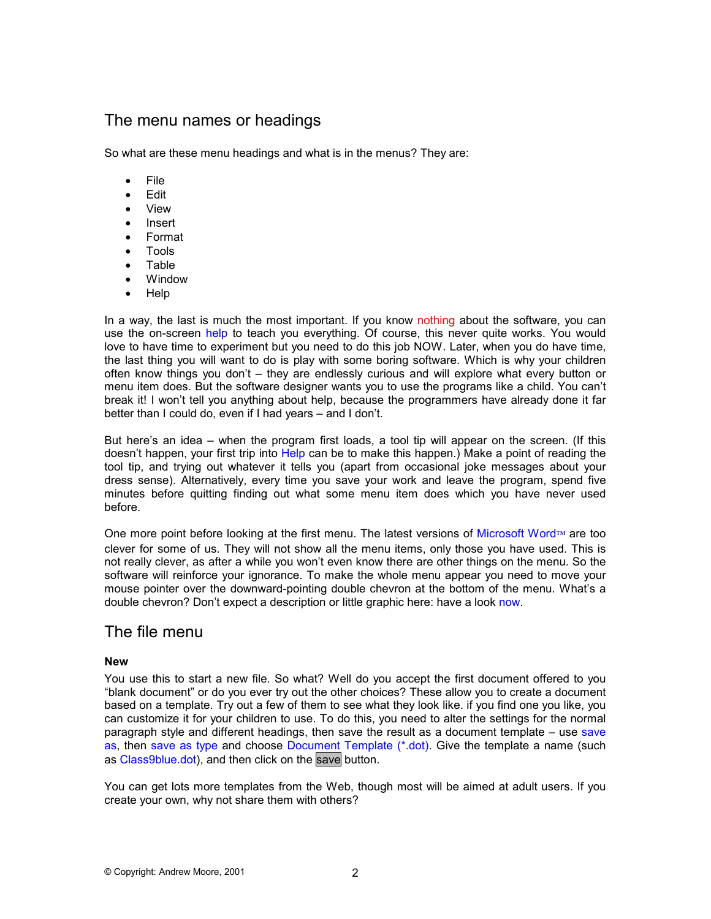## The menu names or headings

So what are these menu headings and what is in the menus? They are:

- File
- Edit
- View
- Insert
- Format
- Tools
- Table
- Window
- Help

In a way, the last is much the most important. If you know nothing about the software, you can use the on-screen help to teach you everything. Of course, this never quite works. You would love to have time to experiment but you need to do this job NOW. Later, when you do have time, the last thing you will want to do is play with some boring software. Which is why your children often know things you don't – they are endlessly curious and will explore what every button or menu item does. But the software designer wants you to use the programs like a child. You can't break it! I won't tell you anything about help, because the programmers have already done it far better than I could do, even if I had years – and I don't.

But here's an idea – when the program first loads, a tool tip will appear on the screen. (If this doesn't happen, your first trip into Help can be to make this happen.) Make a point of reading the tool tip, and trying out whatever it tells you (apart from occasional joke messages about your dress sense). Alternatively, every time you save your work and leave the program, spend five minutes before quitting finding out what some menu item does which you have never used before.

One more point before looking at the first menu. The latest versions of Microsoft Word™ are too clever for some of us. They will not show all the menu items, only those you have used. This is not really clever, as after a while you won't even know there are other things on the menu. So the software will reinforce your ignorance. To make the whole menu appear you need to move your mouse pointer over the downward-pointing double chevron at the bottom of the menu. What's a double chevron? Don't expect a description or little graphic here: have a look now.

### The file menu

### **New**

You use this to start a new file. So what? Well do you accept the first document offered to you "blank document" or do you ever try out the other choices? These allow you to create a document based on a template. Try out a few of them to see what they look like. if you find one you like, you can customize it for your children to use. To do this, you need to alter the settings for the normal paragraph style and different headings, then save the result as a document template – use save as, then save as type and choose Document Template (\*.dot). Give the template a name (such as Class9blue.dot), and then click on the save button.

You can get lots more templates from the Web, though most will be aimed at adult users. If you create your own, why not share them with others?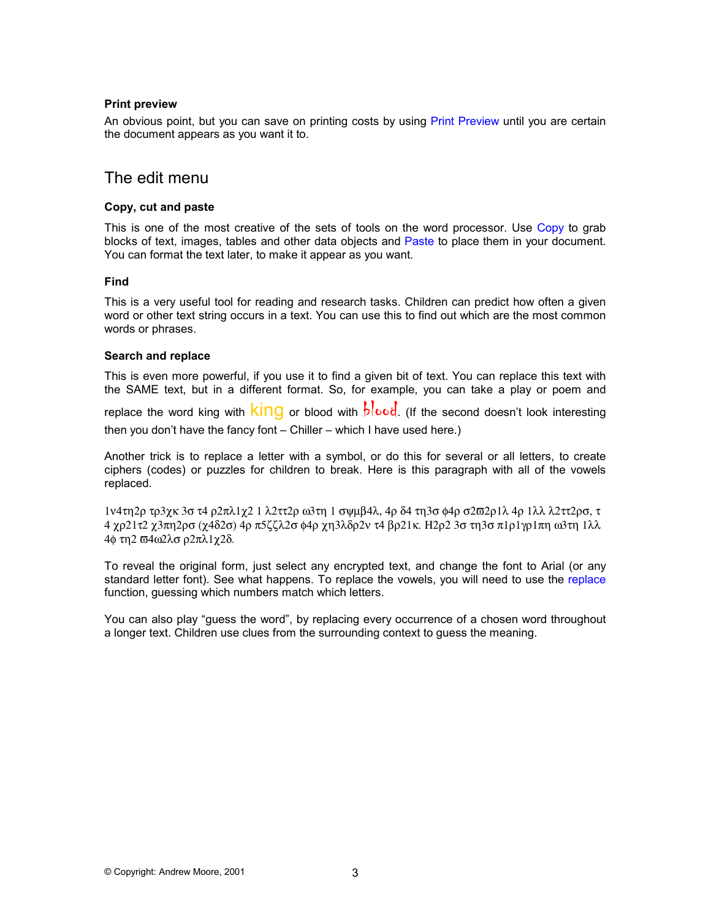#### **Print preview**

An obvious point, but you can save on printing costs by using Print Preview until you are certain the document appears as you want it to.

### The edit menu

### **Copy, cut and paste**

This is one of the most creative of the sets of tools on the word processor. Use Copy to grab blocks of text, images, tables and other data objects and Paste to place them in your document. You can format the text later, to make it appear as you want.

#### **Find**

This is a very useful tool for reading and research tasks. Children can predict how often a given word or other text string occurs in a text. You can use this to find out which are the most common words or phrases.

### **Search and replace**

This is even more powerful, if you use it to find a given bit of text. You can replace this text with the SAME text, but in a different format. So, for example, you can take a play or poem and

replace the word king with  $\frac{\text{kin}}{\text{K}}$  or blood with  $\frac{1}{\text{K}}$  (If the second doesn't look interesting then you don't have the fancy font – Chiller – which I have used here.)

Another trick is to replace a letter with a symbol, or do this for several or all letters, to create ciphers (codes) or puzzles for children to break. Here is this paragraph with all of the vowels replaced.

1ν4τη2ρ τρ3χκ 3σ τ4 ρ2πλ1χ2 1 λ2ττ2ρ ω3τη 1 σψµβ4λ, 4ρ δ4 τη3σ φ4ρ σ2ϖ2ρ1λ 4ρ 1λλ λ2ττ2ρσ, τ 4 χρ21τ2 χ3πη2ρσ (χ4δ2σ) 4ρ π5ζζλ2σ φ4ρ χη3λδρ2ν τ4 βρ21κ. Η2ρ2 3σ τη3σ π1ρ1γρ1πη ω3τη 1λλ 4φ τη2 ϖ4ω2λσ ρ2πλ1χ2δ.

To reveal the original form, just select any encrypted text, and change the font to Arial (or any standard letter font). See what happens. To replace the vowels, you will need to use the replace function, guessing which numbers match which letters.

You can also play "guess the word", by replacing every occurrence of a chosen word throughout a longer text. Children use clues from the surrounding context to guess the meaning.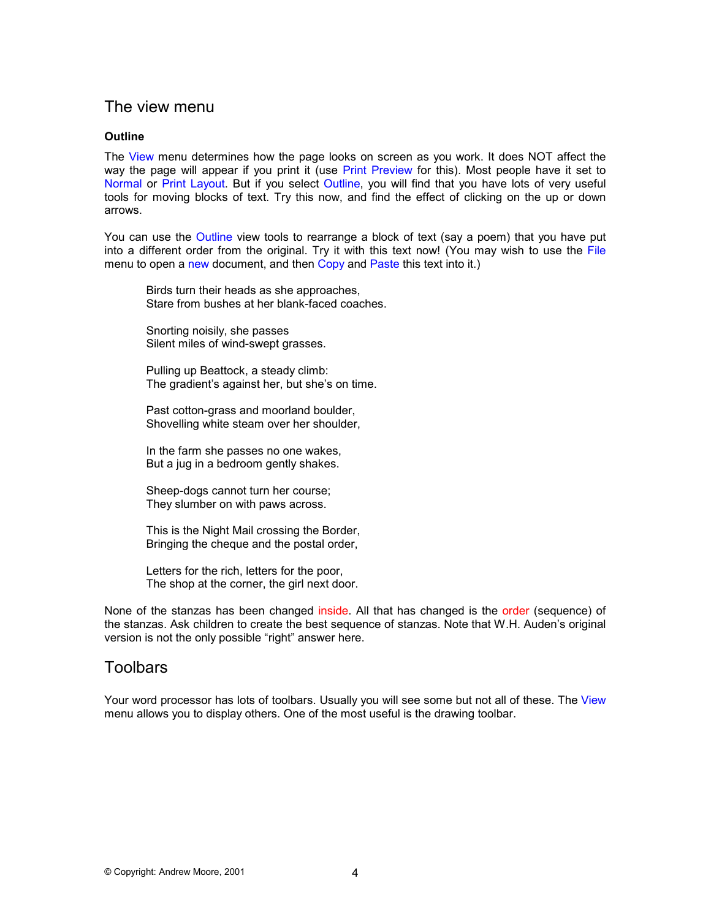## The view menu

### **Outline**

The View menu determines how the page looks on screen as you work. It does NOT affect the way the page will appear if you print it (use Print Preview for this). Most people have it set to Normal or Print Layout. But if you select Outline, you will find that you have lots of very useful tools for moving blocks of text. Try this now, and find the effect of clicking on the up or down arrows.

You can use the Outline view tools to rearrange a block of text (say a poem) that you have put into a different order from the original. Try it with this text now! (You may wish to use the File menu to open a new document, and then Copy and Paste this text into it.)

Birds turn their heads as she approaches, Stare from bushes at her blank-faced coaches.

Snorting noisily, she passes Silent miles of wind-swept grasses.

Pulling up Beattock, a steady climb: The gradient's against her, but she's on time.

Past cotton-grass and moorland boulder. Shovelling white steam over her shoulder,

In the farm she passes no one wakes, But a jug in a bedroom gently shakes.

Sheep-dogs cannot turn her course; They slumber on with paws across.

This is the Night Mail crossing the Border, Bringing the cheque and the postal order,

Letters for the rich, letters for the poor, The shop at the corner, the girl next door.

None of the stanzas has been changed inside. All that has changed is the order (sequence) of the stanzas. Ask children to create the best sequence of stanzas. Note that W.H. Auden's original version is not the only possible "right" answer here.

## Toolbars

Your word processor has lots of toolbars. Usually you will see some but not all of these. The View menu allows you to display others. One of the most useful is the drawing toolbar.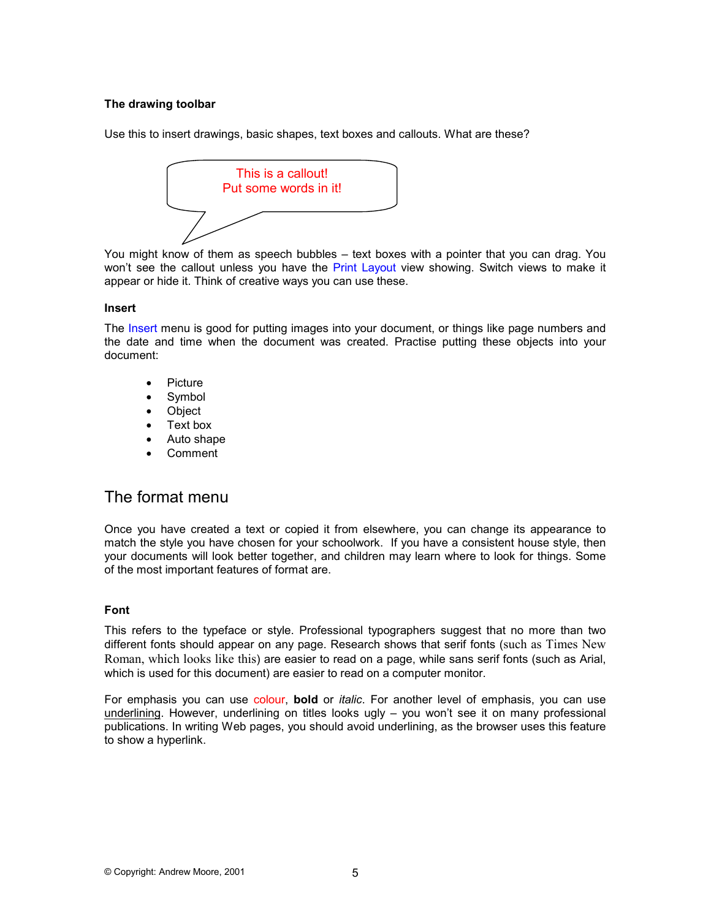### **The drawing toolbar**

Use this to insert drawings, basic shapes, text boxes and callouts. What are these?



You might know of them as speech bubbles – text boxes with a pointer that you can drag. You won't see the callout unless you have the Print Layout view showing. Switch views to make it appear or hide it. Think of creative ways you can use these.

### **Insert**

The Insert menu is good for putting images into your document, or things like page numbers and the date and time when the document was created. Practise putting these objects into your document:

- Picture
- **Symbol**
- Object
- Text box
- Auto shape
- Comment

## The format menu

Once you have created a text or copied it from elsewhere, you can change its appearance to match the style you have chosen for your schoolwork. If you have a consistent house style, then your documents will look better together, and children may learn where to look for things. Some of the most important features of format are.

### **Font**

This refers to the typeface or style. Professional typographers suggest that no more than two different fonts should appear on any page. Research shows that serif fonts (such as Times New Roman, which looks like this) are easier to read on a page, while sans serif fonts (such as Arial, which is used for this document) are easier to read on a computer monitor.

For emphasis you can use colour, **bold** or *italic*. For another level of emphasis, you can use underlining. However, underlining on titles looks ugly – you won't see it on many professional publications. In writing Web pages, you should avoid underlining, as the browser uses this feature to show a hyperlink.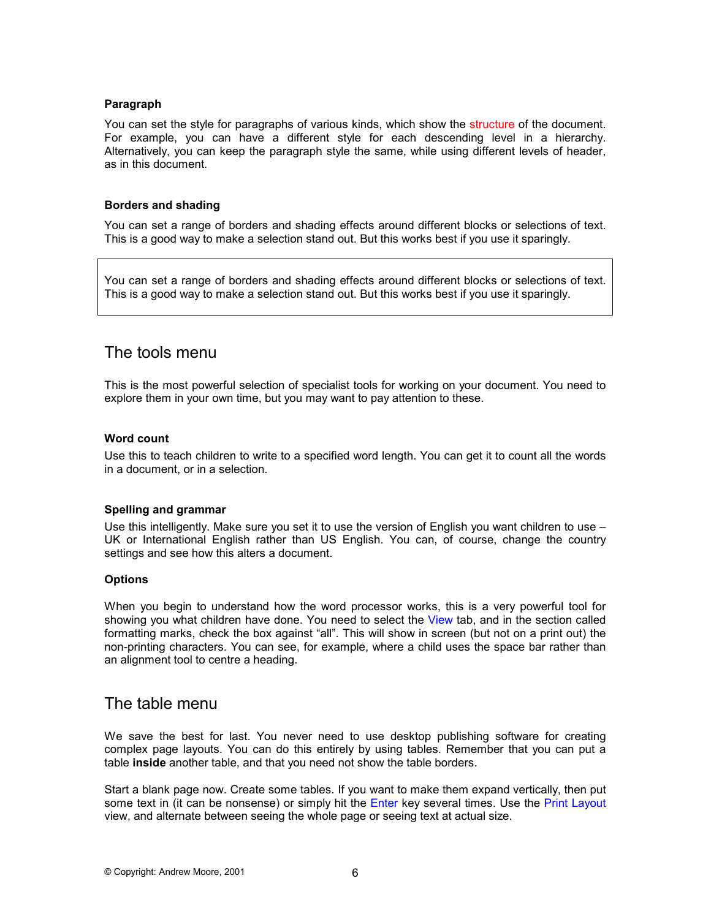### **Paragraph**

You can set the style for paragraphs of various kinds, which show the structure of the document. For example, you can have a different style for each descending level in a hierarchy. Alternatively, you can keep the paragraph style the same, while using different levels of header, as in this document.

#### **Borders and shading**

You can set a range of borders and shading effects around different blocks or selections of text. This is a good way to make a selection stand out. But this works best if you use it sparingly.

You can set a range of borders and shading effects around different blocks or selections of text. This is a good way to make a selection stand out. But this works best if you use it sparingly.

### The tools menu

This is the most powerful selection of specialist tools for working on your document. You need to explore them in your own time, but you may want to pay attention to these.

#### **Word count**

Use this to teach children to write to a specified word length. You can get it to count all the words in a document, or in a selection.

### **Spelling and grammar**

Use this intelligently. Make sure you set it to use the version of English you want children to use – UK or International English rather than US English. You can, of course, change the country settings and see how this alters a document.

#### **Options**

When you begin to understand how the word processor works, this is a very powerful tool for showing you what children have done. You need to select the View tab, and in the section called formatting marks, check the box against "all". This will show in screen (but not on a print out) the non-printing characters. You can see, for example, where a child uses the space bar rather than an alignment tool to centre a heading.

### The table menu

We save the best for last. You never need to use desktop publishing software for creating complex page layouts. You can do this entirely by using tables. Remember that you can put a table **inside** another table, and that you need not show the table borders.

Start a blank page now. Create some tables. If you want to make them expand vertically, then put some text in (it can be nonsense) or simply hit the Enter key several times. Use the Print Layout view, and alternate between seeing the whole page or seeing text at actual size.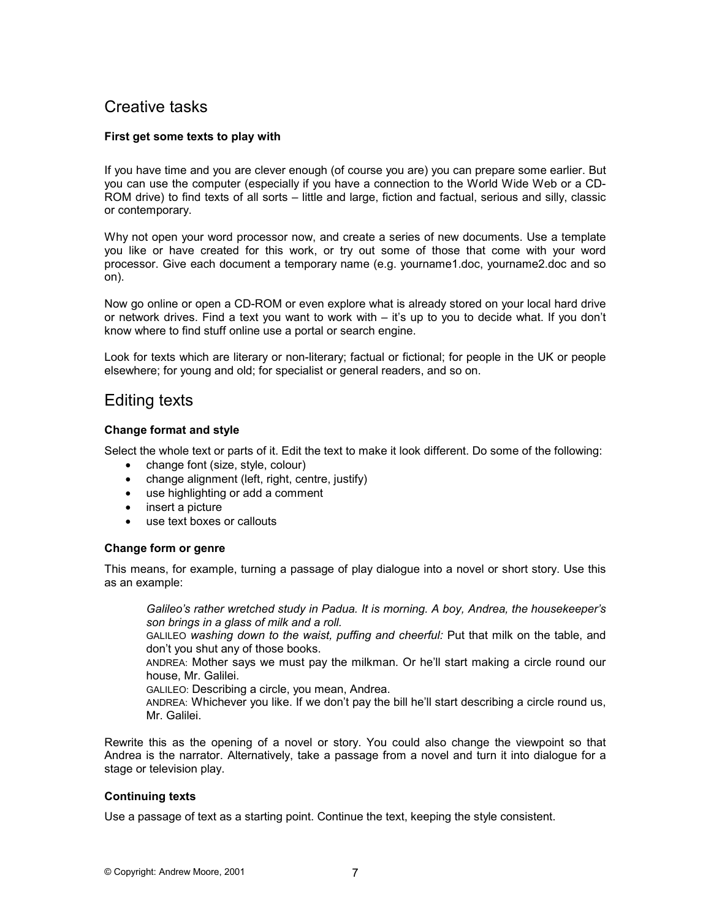## Creative tasks

### **First get some texts to play with**

If you have time and you are clever enough (of course you are) you can prepare some earlier. But you can use the computer (especially if you have a connection to the World Wide Web or a CD-ROM drive) to find texts of all sorts – little and large, fiction and factual, serious and silly, classic or contemporary.

Why not open your word processor now, and create a series of new documents. Use a template you like or have created for this work, or try out some of those that come with your word processor. Give each document a temporary name (e.g. yourname1.doc, yourname2.doc and so on).

Now go online or open a CD-ROM or even explore what is already stored on your local hard drive or network drives. Find a text you want to work with – it's up to you to decide what. If you don't know where to find stuff online use a portal or search engine.

Look for texts which are literary or non-literary; factual or fictional; for people in the UK or people elsewhere; for young and old; for specialist or general readers, and so on.

## Editing texts

### **Change format and style**

Select the whole text or parts of it. Edit the text to make it look different. Do some of the following:

- change font (size, style, colour)
- change alignment (left, right, centre, justify)
- use highlighting or add a comment
- insert a picture
- use text boxes or callouts

### **Change form or genre**

This means, for example, turning a passage of play dialogue into a novel or short story. Use this as an example:

*Galileo's rather wretched study in Padua. It is morning. A boy, Andrea, the housekeeper's son brings in a glass of milk and a roll.* 

GALILEO *washing down to the waist, puffing and cheerful:* Put that milk on the table, and don't you shut any of those books.

ANDREA: Mother says we must pay the milkman. Or he'll start making a circle round our house, Mr. Galilei.

GALILEO: Describing a circle, you mean, Andrea.

ANDREA: Whichever you like. If we don't pay the bill he'll start describing a circle round us, Mr. Galilei.

Rewrite this as the opening of a novel or story. You could also change the viewpoint so that Andrea is the narrator. Alternatively, take a passage from a novel and turn it into dialogue for a stage or television play.

### **Continuing texts**

Use a passage of text as a starting point. Continue the text, keeping the style consistent.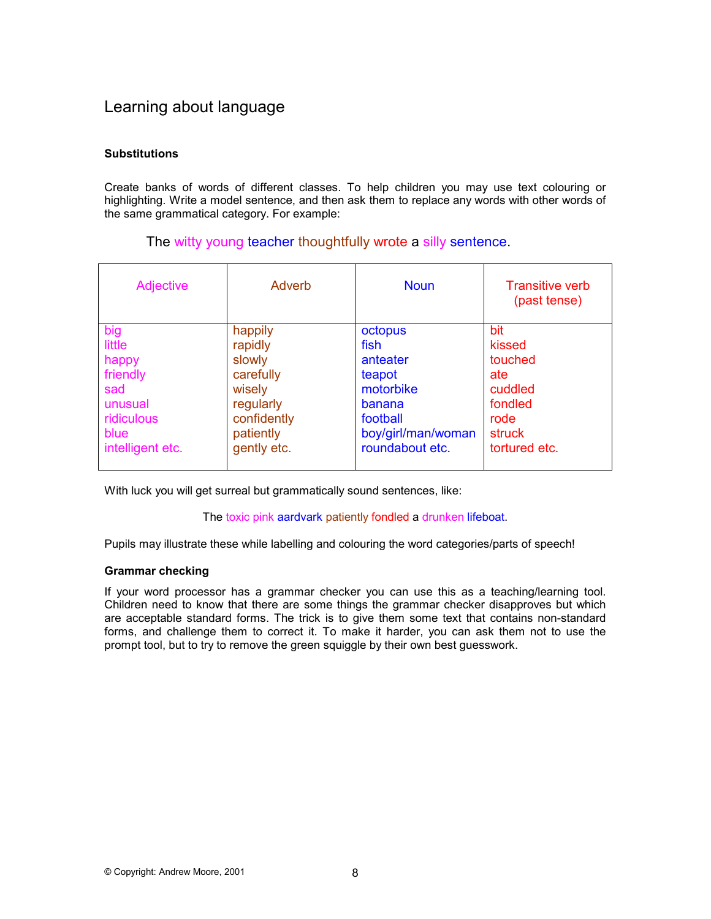## Learning about language

### **Substitutions**

Create banks of words of different classes. To help children you may use text colouring or highlighting. Write a model sentence, and then ask them to replace any words with other words of the same grammatical category. For example:

### The witty young teacher thoughtfully wrote a silly sentence.

| Adjective        | Adverb      | <b>Noun</b>        | <b>Transitive verb</b><br>(past tense) |
|------------------|-------------|--------------------|----------------------------------------|
| big              | happily     | octopus            | bit                                    |
| little           | rapidly     | fish               | kissed                                 |
| happy            | slowly      | anteater           | touched                                |
| friendly         | carefully   | teapot             | ate                                    |
| sad              | wisely      | motorbike          | cuddled                                |
| unusual          | regularly   | banana             | fondled                                |
| ridiculous       | confidently | football           | rode                                   |
| blue             | patiently   | boy/girl/man/woman | struck                                 |
| intelligent etc. | gently etc. | roundabout etc.    | tortured etc.                          |

With luck you will get surreal but grammatically sound sentences, like:

### The toxic pink aardvark patiently fondled a drunken lifeboat.

Pupils may illustrate these while labelling and colouring the word categories/parts of speech!

### **Grammar checking**

If your word processor has a grammar checker you can use this as a teaching/learning tool. Children need to know that there are some things the grammar checker disapproves but which are acceptable standard forms. The trick is to give them some text that contains non-standard forms, and challenge them to correct it. To make it harder, you can ask them not to use the prompt tool, but to try to remove the green squiggle by their own best guesswork.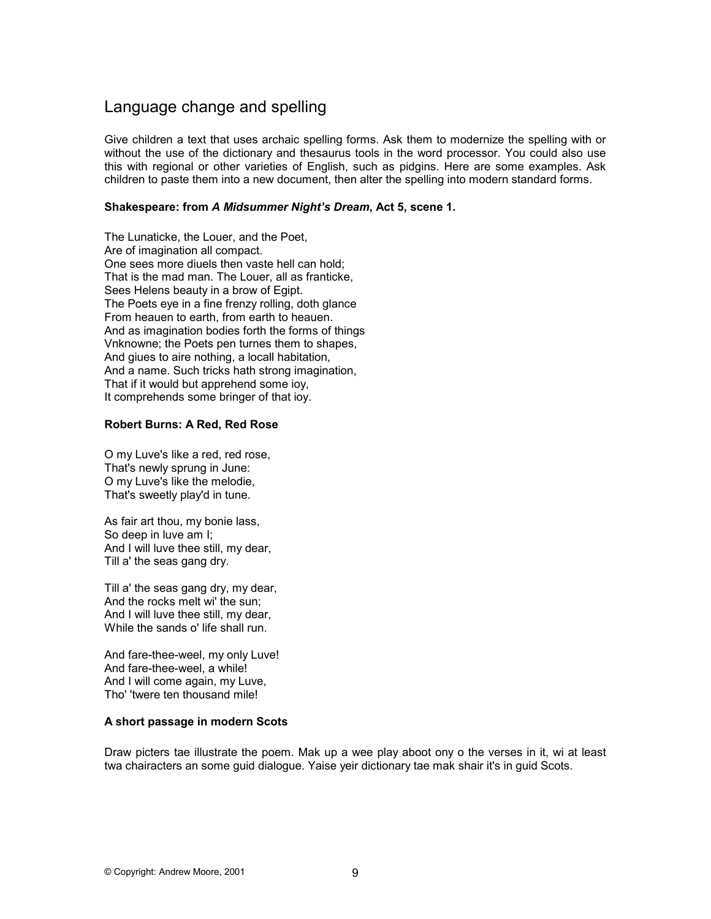## Language change and spelling

Give children a text that uses archaic spelling forms. Ask them to modernize the spelling with or without the use of the dictionary and thesaurus tools in the word processor. You could also use this with regional or other varieties of English, such as pidgins. Here are some examples. Ask children to paste them into a new document, then alter the spelling into modern standard forms.

### **Shakespeare: from** *A Midsummer Night's Dream***, Act 5, scene 1.**

The Lunaticke, the Louer, and the Poet, Are of imagination all compact. One sees more diuels then vaste hell can hold; That is the mad man. The Louer, all as franticke, Sees Helens beauty in a brow of Egipt. The Poets eye in a fine frenzy rolling, doth glance From heauen to earth, from earth to heauen. And as imagination bodies forth the forms of things Vnknowne; the Poets pen turnes them to shapes, And giues to aire nothing, a locall habitation, And a name. Such tricks hath strong imagination, That if it would but apprehend some ioy, It comprehends some bringer of that ioy.

### **Robert Burns: A Red, Red Rose**

O my Luve's like a red, red rose, That's newly sprung in June: O my Luve's like the melodie, That's sweetly play'd in tune.

As fair art thou, my bonie lass, So deep in luve am I; And I will luve thee still, my dear, Till a' the seas gang dry.

Till a' the seas gang dry, my dear, And the rocks melt wi' the sun; And I will luve thee still, my dear, While the sands o' life shall run.

And fare-thee-weel, my only Luve! And fare-thee-weel, a while! And I will come again, my Luve, Tho' 'twere ten thousand mile!

### **A short passage in modern Scots**

Draw picters tae illustrate the poem. Mak up a wee play aboot ony o the verses in it, wi at least twa chairacters an some guid dialogue. Yaise yeir dictionary tae mak shair it's in guid Scots.